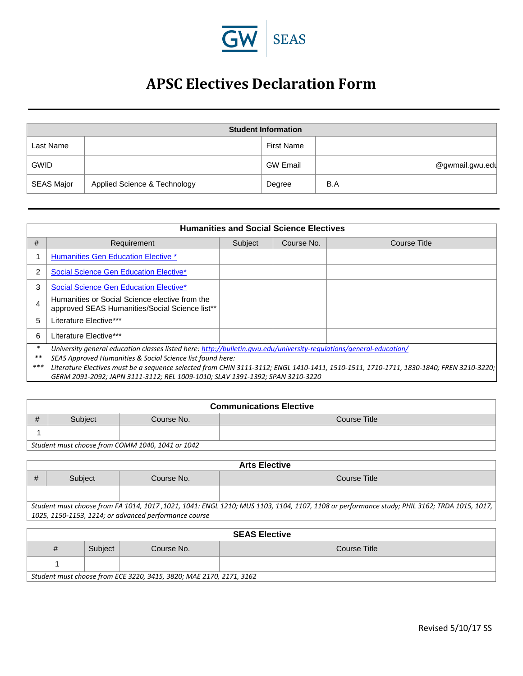

## **APSC Electives Declaration Form**

|                   |                              | <b>Student Information</b> |                 |
|-------------------|------------------------------|----------------------------|-----------------|
| Last Name         |                              | First Name                 |                 |
| <b>GWID</b>       |                              | <b>GW Email</b>            | @gwmail.gwu.edu |
| <b>SEAS Major</b> | Applied Science & Technology | Degree                     | B.A             |

|       | <b>Humanities and Social Science Electives</b>                                                                                         |         |            |              |  |  |  |
|-------|----------------------------------------------------------------------------------------------------------------------------------------|---------|------------|--------------|--|--|--|
| #     | Requirement                                                                                                                            | Subject | Course No. | Course Title |  |  |  |
|       | <b>Humanities Gen Education Elective *</b>                                                                                             |         |            |              |  |  |  |
|       | Social Science Gen Education Elective*                                                                                                 |         |            |              |  |  |  |
| 3     | Social Science Gen Education Elective*                                                                                                 |         |            |              |  |  |  |
| 4     | Humanities or Social Science elective from the<br>approved SEAS Humanities/Social Science list**                                       |         |            |              |  |  |  |
| 5     | Literature Elective***                                                                                                                 |         |            |              |  |  |  |
| 6     | Literature Elective***                                                                                                                 |         |            |              |  |  |  |
| *     | University general education classes listed here: http://bulletin.gwu.edu/university-regulations/general-education/                    |         |            |              |  |  |  |
| $***$ | SEAS Approved Humanities & Social Science list found here:                                                                             |         |            |              |  |  |  |
| $***$ | Literature Electives must be a sequence selected from CHIN 3111-3112; ENGL 1410-1411, 1510-1511, 1710-1711, 1830-1840; FREN 3210-3220; |         |            |              |  |  |  |
|       | GERM 2091-2092; JAPN 3111-3112; REL 1009-1010; SLAV 1391-1392; SPAN 3210-3220                                                          |         |            |              |  |  |  |

|   | <b>Communications Elective</b>                   |  |  |  |  |  |
|---|--------------------------------------------------|--|--|--|--|--|
| # | Course No.<br>Course Title<br>Subject            |  |  |  |  |  |
|   |                                                  |  |  |  |  |  |
|   | Student must choose from COMM 1040, 1041 or 1042 |  |  |  |  |  |

| <b>Arts Elective</b>                                                                                                                        |                                                       |            |              |  |  |
|---------------------------------------------------------------------------------------------------------------------------------------------|-------------------------------------------------------|------------|--------------|--|--|
|                                                                                                                                             | Subject                                               | Course No. | Course Title |  |  |
|                                                                                                                                             |                                                       |            |              |  |  |
| Student must choose from FA 1014, 1017, 1021, 1041: ENGL 1210; MUS 1103, 1104, 1107, 1108 or performance study; PHIL 3162; TRDA 1015, 1017, |                                                       |            |              |  |  |
|                                                                                                                                             | 1025, 1150-1153, 1214; or advanced performance course |            |              |  |  |

| <b>SEAS Elective</b>                                                |         |            |              |  |
|---------------------------------------------------------------------|---------|------------|--------------|--|
| #                                                                   | Subject | Course No. | Course Title |  |
|                                                                     |         |            |              |  |
| Student must choose from ECE 3220, 3415, 3820; MAE 2170, 2171, 3162 |         |            |              |  |